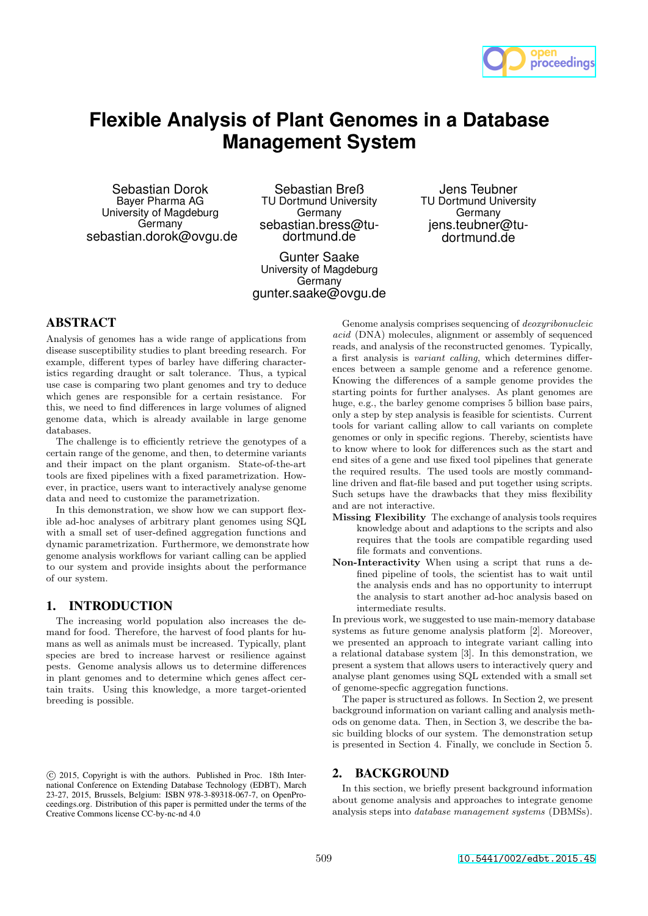

# **Flexible Analysis of Plant Genomes in a Database Management System**

Sebastian Dorok Bayer Pharma AG University of Magdeburg Germany sebastian.dorok@ovgu.de

Sebastian Breß TU Dortmund University Germany sebastian.bress@tudortmund.de

Gunter Saake University of Magdeburg **Germany** gunter.saake@ovgu.de

Jens Teubner TU Dortmund University Germany jens.teubner@tudortmund.de

# ABSTRACT

Analysis of genomes has a wide range of applications from disease susceptibility studies to plant breeding research. For example, different types of barley have differing characteristics regarding draught or salt tolerance. Thus, a typical use case is comparing two plant genomes and try to deduce which genes are responsible for a certain resistance. For this, we need to find differences in large volumes of aligned genome data, which is already available in large genome databases.

The challenge is to efficiently retrieve the genotypes of a certain range of the genome, and then, to determine variants and their impact on the plant organism. State-of-the-art tools are fixed pipelines with a fixed parametrization. However, in practice, users want to interactively analyse genome data and need to customize the parametrization.

In this demonstration, we show how we can support flexible ad-hoc analyses of arbitrary plant genomes using SQL with a small set of user-defined aggregation functions and dynamic parametrization. Furthermore, we demonstrate how genome analysis workflows for variant calling can be applied to our system and provide insights about the performance of our system.

## 1. INTRODUCTION

The increasing world population also increases the demand for food. Therefore, the harvest of food plants for humans as well as animals must be increased. Typically, plant species are bred to increase harvest or resilience against pests. Genome analysis allows us to determine differences in plant genomes and to determine which genes affect certain traits. Using this knowledge, a more target-oriented breeding is possible.

Genome analysis comprises sequencing of *deoxyribonucleic acid* (DNA) molecules, alignment or assembly of sequenced reads, and analysis of the reconstructed genomes. Typically, a first analysis is *variant calling*, which determines differences between a sample genome and a reference genome. Knowing the differences of a sample genome provides the starting points for further analyses. As plant genomes are huge, e.g., the barley genome comprises 5 billion base pairs. only a step by step analysis is feasible for scientists. Current tools for variant calling allow to call variants on complete genomes or only in specific regions. Thereby, scientists have to know where to look for differences such as the start and end sites of a gene and use fixed tool pipelines that generate the required results. The used tools are mostly commandline driven and flat-file based and put together using scripts. Such setups have the drawbacks that they miss flexibility and are not interactive.

- Missing Flexibility The exchange of analysis tools requires knowledge about and adaptions to the scripts and also requires that the tools are compatible regarding used file formats and conventions.
- Non-Interactivity When using a script that runs a defined pipeline of tools, the scientist has to wait until the analysis ends and has no opportunity to interrupt the analysis to start another ad-hoc analysis based on intermediate results.

In previous work, we suggested to use main-memory database systems as future genome analysis platform [2]. Moreover, we presented an approach to integrate variant calling into a relational database system [3]. In this demonstration, we present a system that allows users to interactively query and analyse plant genomes using SQL extended with a small set of genome-specfic aggregation functions.

The paper is structured as follows. In Section 2, we present background information on variant calling and analysis methods on genome data. Then, in Section 3, we describe the basic building blocks of our system. The demonstration setup is presented in Section 4. Finally, we conclude in Section 5.

## 2. BACKGROUND

In this section, we briefly present background information about genome analysis and approaches to integrate genome analysis steps into *database management systems* (DBMSs).

c 2015, Copyright is with the authors. Published in Proc. 18th International Conference on Extending Database Technology (EDBT), March 23-27, 2015, Brussels, Belgium: ISBN 978-3-89318-067-7, on OpenProceedings.org. Distribution of this paper is permitted under the terms of the Creative Commons license CC-by-nc-nd 4.0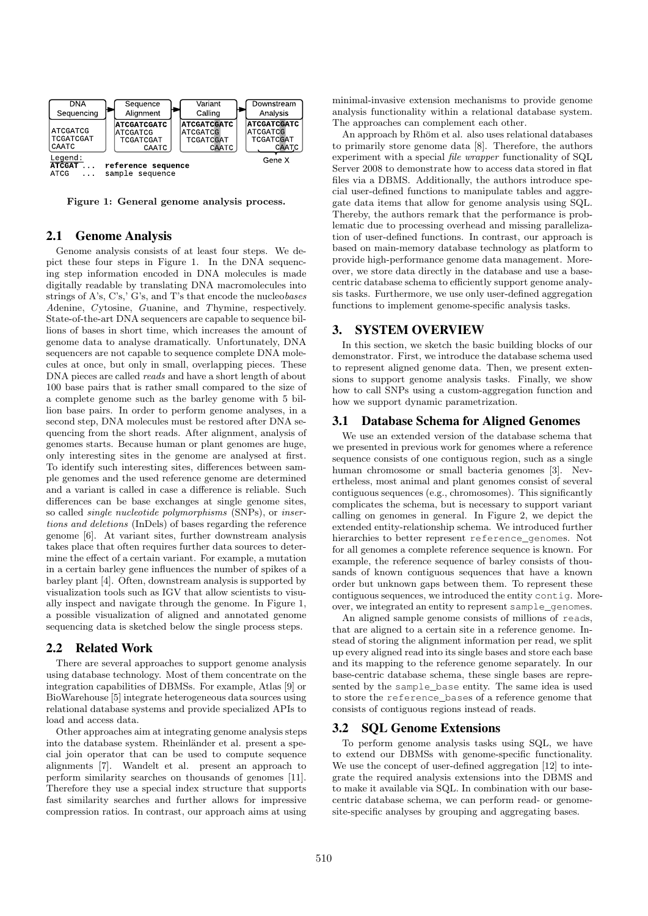

Figure 1: General genome analysis process.

#### 2.1 Genome Analysis

Genome analysis consists of at least four steps. We depict these four steps in Figure 1. In the DNA sequencing step information encoded in DNA molecules is made digitally readable by translating DNA macromolecules into strings of A's, C's,' G's, and T's that encode the nucleo*bases A*denine, *C*ytosine, *G*uanine, and *T*hymine, respectively. State-of-the-art DNA sequencers are capable to sequence billions of bases in short time, which increases the amount of genome data to analyse dramatically. Unfortunately, DNA sequencers are not capable to sequence complete DNA molecules at once, but only in small, overlapping pieces. These DNA pieces are called *reads* and have a short length of about 100 base pairs that is rather small compared to the size of a complete genome such as the barley genome with 5 billion base pairs. In order to perform genome analyses, in a second step, DNA molecules must be restored after DNA sequencing from the short reads. After alignment, analysis of genomes starts. Because human or plant genomes are huge, only interesting sites in the genome are analysed at first. To identify such interesting sites, differences between sample genomes and the used reference genome are determined and a variant is called in case a difference is reliable. Such differences can be base exchanges at single genome sites, so called *single nucleotide polymorphisms* (SNPs), or *insertions and deletions* (InDels) of bases regarding the reference genome [6]. At variant sites, further downstream analysis takes place that often requires further data sources to determine the effect of a certain variant. For example, a mutation in a certain barley gene influences the number of spikes of a barley plant [4]. Often, downstream analysis is supported by visualization tools such as IGV that allow scientists to visually inspect and navigate through the genome. In Figure 1, a possible visualization of aligned and annotated genome sequencing data is sketched below the single process steps.

#### 2.2 Related Work

There are several approaches to support genome analysis using database technology. Most of them concentrate on the integration capabilities of DBMSs. For example, Atlas [9] or BioWarehouse [5] integrate heterogeneous data sources using relational database systems and provide specialized APIs to load and access data.

Other approaches aim at integrating genome analysis steps into the database system. Rheinländer et al. present a special join operator that can be used to compute sequence alignments [7]. Wandelt et al. present an approach to perform similarity searches on thousands of genomes [11]. Therefore they use a special index structure that supports fast similarity searches and further allows for impressive compression ratios. In contrast, our approach aims at using minimal-invasive extension mechanisms to provide genome analysis functionality within a relational database system. The approaches can complement each other.

An approach by Rhöm et al. also uses relational databases to primarily store genome data [8]. Therefore, the authors experiment with a special *file wrapper* functionality of SQL Server 2008 to demonstrate how to access data stored in flat files via a DBMS. Additionally, the authors introduce special user-defined functions to manipulate tables and aggregate data items that allow for genome analysis using SQL. Thereby, the authors remark that the performance is problematic due to processing overhead and missing parallelization of user-defined functions. In contrast, our approach is based on main-memory database technology as platform to provide high-performance genome data management. Moreover, we store data directly in the database and use a basecentric database schema to efficiently support genome analysis tasks. Furthermore, we use only user-defined aggregation functions to implement genome-specific analysis tasks.

#### 3. SYSTEM OVERVIEW

In this section, we sketch the basic building blocks of our demonstrator. First, we introduce the database schema used to represent aligned genome data. Then, we present extensions to support genome analysis tasks. Finally, we show how to call SNPs using a custom-aggregation function and how we support dynamic parametrization.

## 3.1 Database Schema for Aligned Genomes

We use an extended version of the database schema that we presented in previous work for genomes where a reference sequence consists of one contiguous region, such as a single human chromosome or small bacteria genomes [3]. Nevertheless, most animal and plant genomes consist of several contiguous sequences (e.g., chromosomes). This significantly complicates the schema, but is necessary to support variant calling on genomes in general. In Figure 2, we depict the extended entity-relationship schema. We introduced further hierarchies to better represent reference\_genomes. Not for all genomes a complete reference sequence is known. For example, the reference sequence of barley consists of thousands of known contiguous sequences that have a known order but unknown gaps between them. To represent these contiguous sequences, we introduced the entity contig. Moreover, we integrated an entity to represent sample\_genomes.

An aligned sample genome consists of millions of reads, that are aligned to a certain site in a reference genome. Instead of storing the alignment information per read, we split up every aligned read into its single bases and store each base and its mapping to the reference genome separately. In our base-centric database schema, these single bases are represented by the sample\_base entity. The same idea is used to store the reference\_bases of a reference genome that consists of contiguous regions instead of reads.

#### 3.2 SQL Genome Extensions

To perform genome analysis tasks using SQL, we have to extend our DBMSs with genome-specific functionality. We use the concept of user-defined aggregation [12] to integrate the required analysis extensions into the DBMS and to make it available via SQL. In combination with our basecentric database schema, we can perform read- or genomesite-specific analyses by grouping and aggregating bases.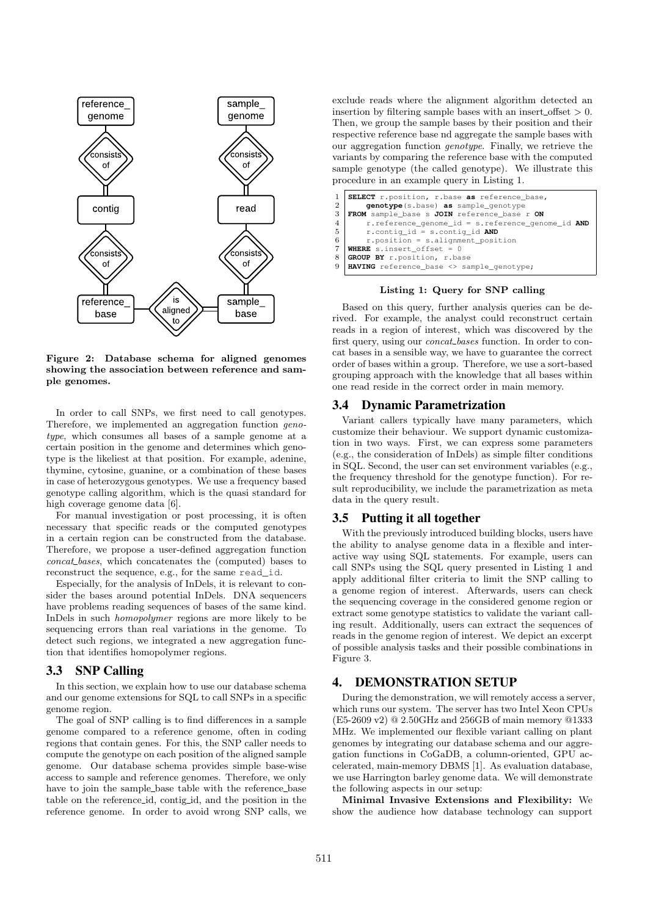

Figure 2: Database schema for aligned genomes showing the association between reference and sample genomes.

In order to call SNPs, we first need to call genotypes. Therefore, we implemented an aggregation function *genotype*, which consumes all bases of a sample genome at a certain position in the genome and determines which genotype is the likeliest at that position. For example, adenine, thymine, cytosine, guanine, or a combination of these bases in case of heterozygous genotypes. We use a frequency based genotype calling algorithm, which is the quasi standard for high coverage genome data [6].

For manual investigation or post processing, it is often necessary that specific reads or the computed genotypes in a certain region can be constructed from the database. Therefore, we propose a user-defined aggregation function *concat bases*, which concatenates the (computed) bases to reconstruct the sequence, e.g., for the same read\_id.

Especially, for the analysis of InDels, it is relevant to consider the bases around potential InDels. DNA sequencers have problems reading sequences of bases of the same kind. InDels in such *homopolymer* regions are more likely to be sequencing errors than real variations in the genome. To detect such regions, we integrated a new aggregation function that identifies homopolymer regions.

#### 3.3 SNP Calling

In this section, we explain how to use our database schema and our genome extensions for SQL to call SNPs in a specific genome region.

The goal of SNP calling is to find differences in a sample genome compared to a reference genome, often in coding regions that contain genes. For this, the SNP caller needs to compute the genotype on each position of the aligned sample genome. Our database schema provides simple base-wise access to sample and reference genomes. Therefore, we only have to join the sample\_base table with the reference\_base table on the reference id, contig id, and the position in the reference genome. In order to avoid wrong SNP calls, we exclude reads where the alignment algorithm detected an insertion by filtering sample bases with an insert\_offset  $> 0$ . Then, we group the sample bases by their position and their respective reference base nd aggregate the sample bases with our aggregation function *genotype*. Finally, we retrieve the variants by comparing the reference base with the computed sample genotype (the called genotype). We illustrate this procedure in an example query in Listing 1.

| $\mathbf{1}$<br>$\overline{2}$ | SELECT r.position, r.base as reference_base,<br>genotype (s.base) as sample_genotype |
|--------------------------------|--------------------------------------------------------------------------------------|
| 3                              | FROM sample_base s JOIN reference_base r ON                                          |
| $\overline{4}$                 | $r. reference_qenome_id = s. reference_qenome_id AND$                                |
| 5                              | $r.$ contig_id = s.contig_id AND                                                     |
| 6                              | $r$ , position = $s$ , alignment position                                            |
| 7                              | <b>WHERE</b> s.insert offset = $0$                                                   |
| 8                              | GROUP BY r.position, r.base                                                          |
|                                | 9   HAVING reference_base <> sample_genotype;                                        |

#### Listing 1: Query for SNP calling

Based on this query, further analysis queries can be derived. For example, the analyst could reconstruct certain reads in a region of interest, which was discovered by the first query, using our *concat bases* function. In order to concat bases in a sensible way, we have to guarantee the correct order of bases within a group. Therefore, we use a sort-based grouping approach with the knowledge that all bases within one read reside in the correct order in main memory.

#### 3.4 Dynamic Parametrization

Variant callers typically have many parameters, which customize their behaviour. We support dynamic customization in two ways. First, we can express some parameters (e.g., the consideration of InDels) as simple filter conditions in SQL. Second, the user can set environment variables (e.g., the frequency threshold for the genotype function). For result reproducibility, we include the parametrization as meta data in the query result.

#### 3.5 Putting it all together

With the previously introduced building blocks, users have the ability to analyse genome data in a flexible and interactive way using SQL statements. For example, users can call SNPs using the SQL query presented in Listing 1 and apply additional filter criteria to limit the SNP calling to a genome region of interest. Afterwards, users can check the sequencing coverage in the considered genome region or extract some genotype statistics to validate the variant calling result. Additionally, users can extract the sequences of reads in the genome region of interest. We depict an excerpt of possible analysis tasks and their possible combinations in Figure 3.

#### 4. DEMONSTRATION SETUP

During the demonstration, we will remotely access a server, which runs our system. The server has two Intel Xeon CPUs (E5-2609 v2) @ 2.50GHz and 256GB of main memory @1333 MHz. We implemented our flexible variant calling on plant genomes by integrating our database schema and our aggregation functions in CoGaDB, a column-oriented, GPU accelerated, main-memory DBMS [1]. As evaluation database, we use Harrington barley genome data. We will demonstrate the following aspects in our setup:

Minimal Invasive Extensions and Flexibility: We show the audience how database technology can support